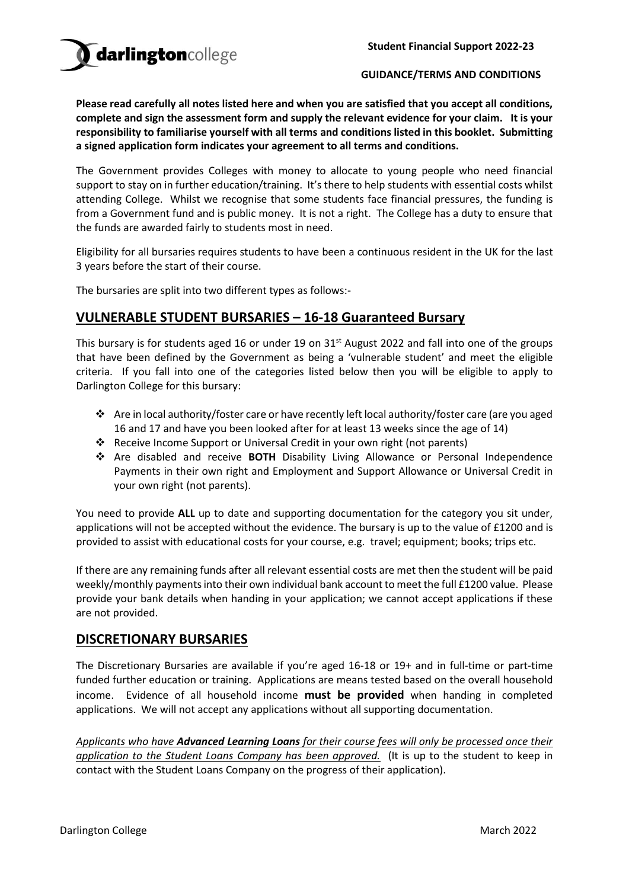#### **GUIDANCE/TERMS AND CONDITIONS**

**Please read carefully all notes listed here and when you are satisfied that you accept all conditions, complete and sign the assessment form and supply the relevant evidence for your claim. It is your responsibility to familiarise yourself with all terms and conditions listed in this booklet. Submitting a signed application form indicates your agreement to all terms and conditions.** 

The Government provides Colleges with money to allocate to young people who need financial support to stay on in further education/training. It's there to help students with essential costs whilst attending College. Whilst we recognise that some students face financial pressures, the funding is from a Government fund and is public money. It is not a right. The College has a duty to ensure that the funds are awarded fairly to students most in need.

Eligibility for all bursaries requires students to have been a continuous resident in the UK for the last 3 years before the start of their course.

The bursaries are split into two different types as follows:-

# **VULNERABLE STUDENT BURSARIES – 16-18 Guaranteed Bursary**

This bursary is for students aged 16 or under 19 on 31<sup>st</sup> August 2022 and fall into one of the groups that have been defined by the Government as being a 'vulnerable student' and meet the eligible criteria. If you fall into one of the categories listed below then you will be eligible to apply to Darlington College for this bursary:

- ❖ Are in local authority/foster care or have recently left local authority/foster care (are you aged 16 and 17 and have you been looked after for at least 13 weeks since the age of 14)
- ❖ Receive Income Support or Universal Credit in your own right (not parents)
- ❖ Are disabled and receive **BOTH** Disability Living Allowance or Personal Independence Payments in their own right and Employment and Support Allowance or Universal Credit in your own right (not parents).

You need to provide **ALL** up to date and supporting documentation for the category you sit under, applications will not be accepted without the evidence. The bursary is up to the value of £1200 and is provided to assist with educational costs for your course, e.g. travel; equipment; books; trips etc.

If there are any remaining funds after all relevant essential costs are met then the student will be paid weekly/monthly payments into their own individual bank account to meet the full £1200 value. Please provide your bank details when handing in your application; we cannot accept applications if these are not provided.

### **DISCRETIONARY BURSARIES**

The Discretionary Bursaries are available if you're aged 16-18 or 19+ and in full-time or part-time funded further education or training. Applications are means tested based on the overall household income. Evidence of all household income **must be provided** when handing in completed applications. We will not accept any applications without all supporting documentation.

*Applicants who have Advanced Learning Loans for their course fees will only be processed once their application to the Student Loans Company has been approved.* (It is up to the student to keep in contact with the Student Loans Company on the progress of their application).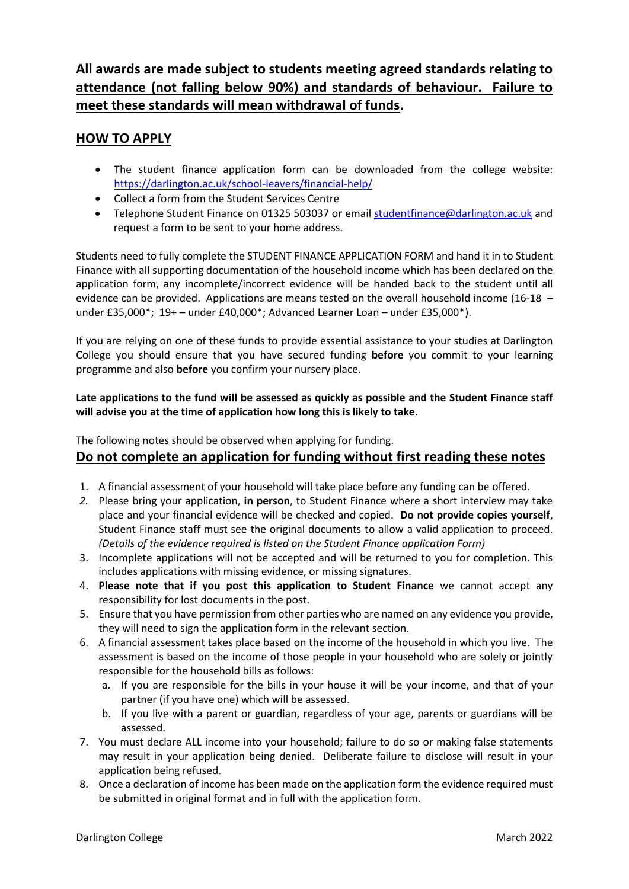# **All awards are made subject to students meeting agreed standards relating to attendance (not falling below 90%) and standards of behaviour. Failure to meet these standards will mean withdrawal of funds.**

# **HOW TO APPLY**

- The student finance application form can be downloaded from the college website: <https://darlington.ac.uk/school-leavers/financial-help/>
- Collect a form from the Student Services Centre
- Telephone Student Finance on 01325 503037 or email [studentfinance@darlington.ac.uk](mailto:studentfinance@darlington.ac.uk) and request a form to be sent to your home address.

Students need to fully complete the STUDENT FINANCE APPLICATION FORM and hand it in to Student Finance with all supporting documentation of the household income which has been declared on the application form, any incomplete/incorrect evidence will be handed back to the student until all evidence can be provided. Applications are means tested on the overall household income (16-18 – under £35,000\*; 19+ – under £40,000\*; Advanced Learner Loan – under £35,000\*).

If you are relying on one of these funds to provide essential assistance to your studies at Darlington College you should ensure that you have secured funding **before** you commit to your learning programme and also **before** you confirm your nursery place.

### **Late applications to the fund will be assessed as quickly as possible and the Student Finance staff will advise you at the time of application how long this is likely to take.**

The following notes should be observed when applying for funding.

# **Do not complete an application for funding without first reading these notes**

- 1. A financial assessment of your household will take place before any funding can be offered.
- *2.* Please bring your application, **in person**, to Student Finance where a short interview may take place and your financial evidence will be checked and copied. **Do not provide copies yourself**, Student Finance staff must see the original documents to allow a valid application to proceed. *(Details of the evidence required is listed on the Student Finance application Form)*
- 3. Incomplete applications will not be accepted and will be returned to you for completion. This includes applications with missing evidence, or missing signatures.
- 4. **Please note that if you post this application to Student Finance** we cannot accept any responsibility for lost documents in the post.
- 5. Ensure that you have permission from other parties who are named on any evidence you provide, they will need to sign the application form in the relevant section.
- 6. A financial assessment takes place based on the income of the household in which you live. The assessment is based on the income of those people in your household who are solely or jointly responsible for the household bills as follows:
	- a. If you are responsible for the bills in your house it will be your income, and that of your partner (if you have one) which will be assessed.
	- b. If you live with a parent or guardian, regardless of your age, parents or guardians will be assessed.
- 7. You must declare ALL income into your household; failure to do so or making false statements may result in your application being denied. Deliberate failure to disclose will result in your application being refused.
- 8. Once a declaration of income has been made on the application form the evidence required must be submitted in original format and in full with the application form.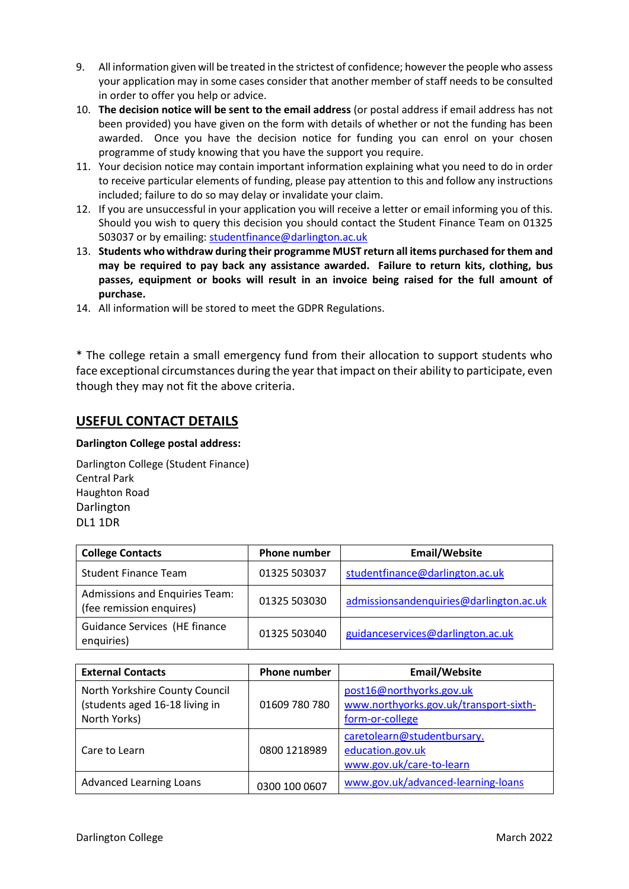- 9. All information given will be treated in the strictest of confidence; however the people who assess your application may in some cases consider that another member of staff needs to be consulted in order to offer you help or advice.
- 10. **The decision notice will be sent to the email address** (or postal address if email address has not been provided) you have given on the form with details of whether or not the funding has been awarded. Once you have the decision notice for funding you can enrol on your chosen programme of study knowing that you have the support you require.
- 11. Your decision notice may contain important information explaining what you need to do in order to receive particular elements of funding, please pay attention to this and follow any instructions included; failure to do so may delay or invalidate your claim.
- 12. If you are unsuccessful in your application you will receive a letter or email informing you of this. Should you wish to query this decision you should contact the Student Finance Team on 01325 503037 or by emailing: [studentfinance@darlington.ac.uk](mailto:studentfinance@darlington.ac.uk)
- 13. **Students who withdraw during their programme MUST return all items purchased for them and may be required to pay back any assistance awarded. Failure to return kits, clothing, bus passes, equipment or books will result in an invoice being raised for the full amount of purchase.**
- 14. All information will be stored to meet the GDPR Regulations.

\* The college retain a small emergency fund from their allocation to support students who face exceptional circumstances during the year that impact on their ability to participate, even though they may not fit the above criteria.

# **USEFUL CONTACT DETAILS**

#### **Darlington College postal address:**

Darlington College (Student Finance) Central Park Haughton Road Darlington DL1 1DR

| <b>College Contacts</b>                                           | <b>Phone number</b> | Email/Website                           |
|-------------------------------------------------------------------|---------------------|-----------------------------------------|
| <b>Student Finance Team</b>                                       | 01325 503037        | studentfinance@darlington.ac.uk         |
| <b>Admissions and Enquiries Team:</b><br>(fee remission enquires) | 01325 503030        | admissionsandenquiries@darlington.ac.uk |
| Guidance Services (HE finance<br>enquiries)                       | 01325 503040        | guidanceservices@darlington.ac.uk       |

| <b>External Contacts</b>                                                         | <b>Phone number</b> | <b>Email/Website</b>                                                                  |
|----------------------------------------------------------------------------------|---------------------|---------------------------------------------------------------------------------------|
| North Yorkshire County Council<br>(students aged 16-18 living in<br>North Yorks) | 01609 780 780       | post16@northyorks.gov.uk<br>www.northyorks.gov.uk/transport-sixth-<br>form-or-college |
| Care to Learn                                                                    | 0800 1218989        | caretolearn@studentbursary.<br>education.gov.uk<br>www.gov.uk/care-to-learn           |
| <b>Advanced Learning Loans</b>                                                   | 0300 100 0607       | www.gov.uk/advanced-learning-loans                                                    |